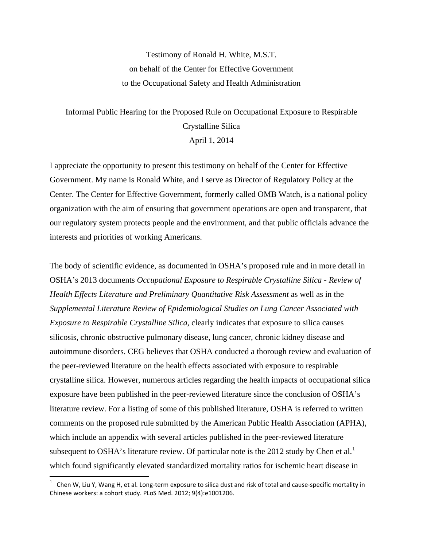Testimony of Ronald H. White, M.S.T. on behalf of the Center for Effective Government to the Occupational Safety and Health Administration

## Informal Public Hearing for the Proposed Rule on Occupational Exposure to Respirable Crystalline Silica April 1, 2014

I appreciate the opportunity to present this testimony on behalf of the Center for Effective Government. My name is Ronald White, and I serve as Director of Regulatory Policy at the Center. The Center for Effective Government, formerly called OMB Watch, is a national policy organization with the aim of ensuring that government operations are open and transparent, that our regulatory system protects people and the environment, and that public officials advance the interests and priorities of working Americans.

The body of scientific evidence, as documented in OSHA's proposed rule and in more detail in OSHA's 2013 documents *Occupational Exposure to Respirable Crystalline Silica - Review of Health Effects Literature and Preliminary Quantitative Risk Assessment* as well as in the *Supplemental Literature Review of Epidemiological Studies on Lung Cancer Associated with Exposure to Respirable Crystalline Silica*, clearly indicates that exposure to silica causes silicosis, chronic obstructive pulmonary disease, lung cancer, chronic kidney disease and autoimmune disorders. CEG believes that OSHA conducted a thorough review and evaluation of the peer-reviewed literature on the health effects associated with exposure to respirable crystalline silica. However, numerous articles regarding the health impacts of occupational silica exposure have been published in the peer-reviewed literature since the conclusion of OSHA's literature review. For a listing of some of this published literature, OSHA is referred to written comments on the proposed rule submitted by the American Public Health Association (APHA), which include an appendix with several articles published in the peer-reviewed literature subsequent to OSHA's literature review. Of particular note is the 20[1](#page-0-0)2 study by Chen et al.<sup>1</sup> which found significantly elevated standardized mortality ratios for ischemic heart disease in

<span id="page-0-0"></span> 1 Chen W, Liu Y, Wang H, et al. Long‐term exposure to silica dust and risk of total and cause‐specific mortality in Chinese workers: a cohort study. PLoS Med. 2012; 9(4):e1001206.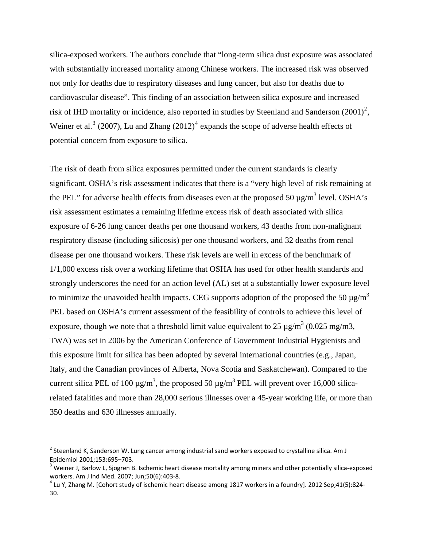silica-exposed workers. The authors conclude that "long-term silica dust exposure was associated with substantially increased mortality among Chinese workers. The increased risk was observed not only for deaths due to respiratory diseases and lung cancer, but also for deaths due to cardiovascular disease". This finding of an association between silica exposure and increased risk of IHD mortality or incidence, also reported in studies by Steenland and Sanderson  $(2001)^2$  $(2001)^2$  $(2001)^2$ , Weiner et al.<sup>[3](#page-1-1)</sup> (2007), Lu and Zhang (2012)<sup>[4](#page-1-2)</sup> expands the scope of adverse health effects of potential concern from exposure to silica.

The risk of death from silica exposures permitted under the current standards is clearly significant. OSHA's risk assessment indicates that there is a "very high level of risk remaining at the PEL" for adverse health effects from diseases even at the proposed 50  $\mu$ g/m<sup>3</sup> level. OSHA's risk assessment estimates a remaining lifetime excess risk of death associated with silica exposure of 6-26 lung cancer deaths per one thousand workers, 43 deaths from non-malignant respiratory disease (including silicosis) per one thousand workers, and 32 deaths from renal disease per one thousand workers. These risk levels are well in excess of the benchmark of 1/1,000 excess risk over a working lifetime that OSHA has used for other health standards and strongly underscores the need for an action level (AL) set at a substantially lower exposure level to minimize the unavoided health impacts. CEG supports adoption of the proposed the 50  $\mu$ g/m<sup>3</sup> PEL based on OSHA's current assessment of the feasibility of controls to achieve this level of exposure, though we note that a threshold limit value equivalent to 25  $\mu$ g/m<sup>3</sup> (0.025 mg/m3, TWA) was set in 2006 by the American Conference of Government Industrial Hygienists and this exposure limit for silica has been adopted by several international countries (e.g., Japan, Italy, and the Canadian provinces of Alberta, Nova Scotia and Saskatchewan). Compared to the current silica PEL of 100  $\mu$ g/m<sup>3</sup>, the proposed 50  $\mu$ g/m<sup>3</sup> PEL will prevent over 16,000 silicarelated fatalities and more than 28,000 serious illnesses over a 45-year working life, or more than 350 deaths and 630 illnesses annually.

<span id="page-1-0"></span><sup>&</sup>lt;sup>2</sup> Steenland K, Sanderson W. Lung cancer among industrial sand workers exposed to crystalline silica. Am J Epidemiol 2001;153:695–703.<br><sup>3</sup> Weiner J, Barlow L, Sjogren B. Ischemic heart disease mortality among miners and other potentially silica-exposed

<span id="page-1-1"></span>workers. Am J Ind Med. 2007; Jun;50(6):403-8.<br><sup>4</sup> Lu Y, Zhang M. [Cohort study of ischemic heart disease among 1817 workers in a foundry]. 2012 Sep;41(5):824-

<span id="page-1-2"></span><sup>30.</sup>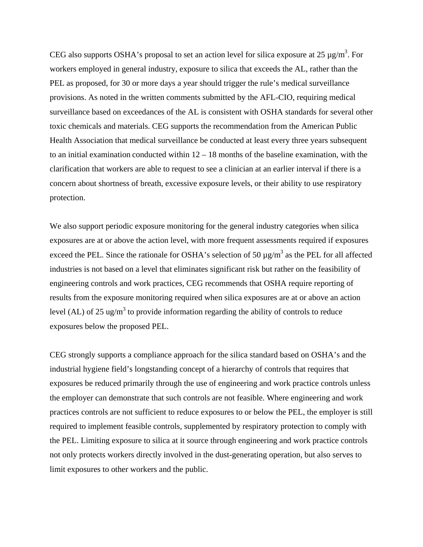CEG also supports OSHA's proposal to set an action level for silica exposure at 25  $\mu$ g/m<sup>3</sup>. For workers employed in general industry, exposure to silica that exceeds the AL, rather than the PEL as proposed, for 30 or more days a year should trigger the rule's medical surveillance provisions. As noted in the written comments submitted by the AFL-CIO, requiring medical surveillance based on exceedances of the AL is consistent with OSHA standards for several other toxic chemicals and materials. CEG supports the recommendation from the American Public Health Association that medical surveillance be conducted at least every three years subsequent to an initial examination conducted within  $12 - 18$  months of the baseline examination, with the clarification that workers are able to request to see a clinician at an earlier interval if there is a concern about shortness of breath, excessive exposure levels, or their ability to use respiratory protection.

We also support periodic exposure monitoring for the general industry categories when silica exposures are at or above the action level, with more frequent assessments required if exposures exceed the PEL. Since the rationale for OSHA's selection of 50  $\mu$ g/m<sup>3</sup> as the PEL for all affected industries is not based on a level that eliminates significant risk but rather on the feasibility of engineering controls and work practices, CEG recommends that OSHA require reporting of results from the exposure monitoring required when silica exposures are at or above an action level (AL) of 25 ug/m<sup>3</sup> to provide information regarding the ability of controls to reduce exposures below the proposed PEL.

CEG strongly supports a compliance approach for the silica standard based on OSHA's and the industrial hygiene field's longstanding concept of a hierarchy of controls that requires that exposures be reduced primarily through the use of engineering and work practice controls unless the employer can demonstrate that such controls are not feasible. Where engineering and work practices controls are not sufficient to reduce exposures to or below the PEL, the employer is still required to implement feasible controls, supplemented by respiratory protection to comply with the PEL. Limiting exposure to silica at it source through engineering and work practice controls not only protects workers directly involved in the dust-generating operation, but also serves to limit exposures to other workers and the public.